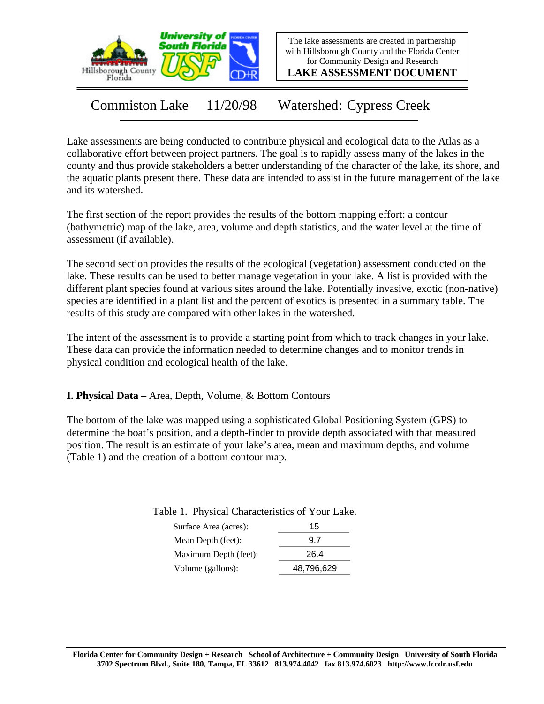

The lake assessments are created in partnership with Hillsborough County and the Florida Center for Community Design and Research

**LAKE ASSESSMENT DOCUMENT**

Commiston Lake 11/20/98 Watershed: Cypress Creek

Lake assessments are being conducted to contribute physical and ecological data to the Atlas as a collaborative effort between project partners. The goal is to rapidly assess many of the lakes in the county and thus provide stakeholders a better understanding of the character of the lake, its shore, and the aquatic plants present there. These data are intended to assist in the future management of the lake and its watershed.

The first section of the report provides the results of the bottom mapping effort: a contour (bathymetric) map of the lake, area, volume and depth statistics, and the water level at the time of assessment (if available).

The second section provides the results of the ecological (vegetation) assessment conducted on the lake. These results can be used to better manage vegetation in your lake. A list is provided with the different plant species found at various sites around the lake. Potentially invasive, exotic (non-native) species are identified in a plant list and the percent of exotics is presented in a summary table. The results of this study are compared with other lakes in the watershed.

The intent of the assessment is to provide a starting point from which to track changes in your lake. These data can provide the information needed to determine changes and to monitor trends in physical condition and ecological health of the lake.

**I. Physical Data –** Area, Depth, Volume, & Bottom Contours

The bottom of the lake was mapped using a sophisticated Global Positioning System (GPS) to determine the boat's position, and a depth-finder to provide depth associated with that measured position. The result is an estimate of your lake's area, mean and maximum depths, and volume (Table 1) and the creation of a bottom contour map.

Table 1. Physical Characteristics of Your Lake.

| Surface Area (acres): | 15         |
|-----------------------|------------|
| Mean Depth (feet):    | 97         |
| Maximum Depth (feet): | 26.4       |
| Volume (gallons):     | 48,796,629 |
|                       |            |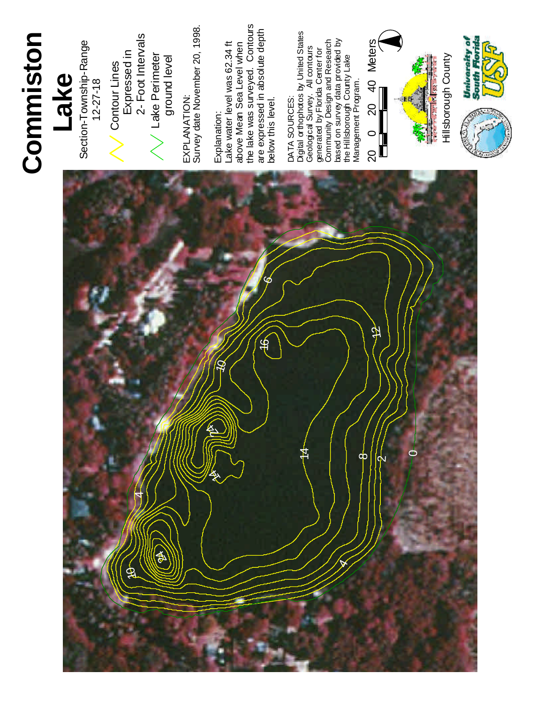### **C o m m i s t o n**

# **L a k e**

Section-Township-Range  $12 - 27 - 18$ 

Contour Lines Expressed in 2 - Foot Interv als L a k e Perimeter ground level

, 1 9 9 8 . EXPLANATION: Survey date November 20 EXPLANATION:

# Explanation:

La k e water level was 6 2 . 3 4 f t a b o v e M e a n S e a Level when t h e la k e w a s surveyed. Contours a r e expressed in a b s olu t e d e p t h below this level.

# TA SOURCES:

DA Digit al orthophotos by United States G e olo gic al Survey. All contours generated b y Flo rid a Center for Co m m u nity D esig n a n d **Research** ba s ed on surv ey d a t a provided b y the Hillsborough County Lake Management Program.



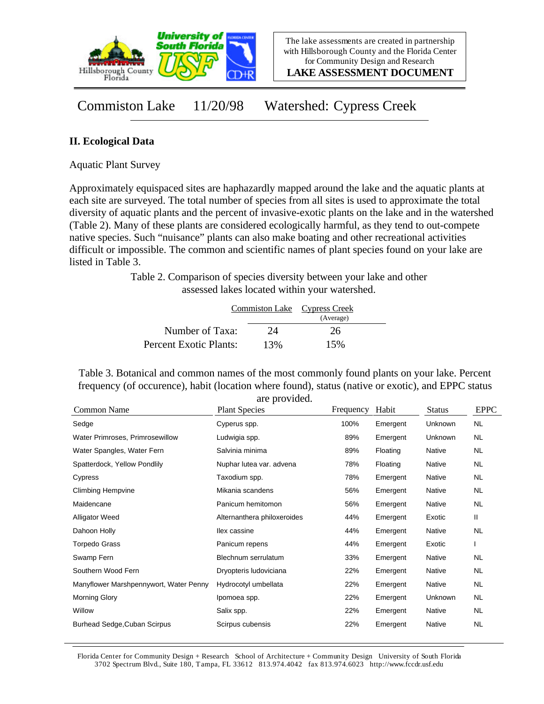

**LAKE ASSESSMENT DOCUMENT**

Commiston Lake 11/20/98 Watershed: Cypress Creek

### **II. Ecological Data**

Aquatic Plant Survey

Approximately equispaced sites are haphazardly mapped around the lake and the aquatic plants at each site are surveyed. The total number of species from all sites is used to approximate the total diversity of aquatic plants and the percent of invasive-exotic plants on the lake and in the watershed (Table 2). Many of these plants are considered ecologically harmful, as they tend to out-compete native species. Such "nuisance" plants can also make boating and other recreational activities difficult or impossible. The common and scientific names of plant species found on your lake are listed in Table 3.

> Table 2. Comparison of species diversity between your lake and other assessed lakes located within your watershed.

|                        |     | Commiston Lake Cypress Creek<br>(Average) |  |
|------------------------|-----|-------------------------------------------|--|
| Number of Taxa:        | 24  | 26                                        |  |
| Percent Exotic Plants: | 13% | 15%                                       |  |

Table 3. Botanical and common names of the most commonly found plants on your lake. Percent frequency (of occurence), habit (location where found), status (native or exotic), and EPPC status are provided.

| Common Name                            | <b>Plant Species</b>        | Frequency | Habit    | <b>Status</b>  | <b>EPPC</b> |
|----------------------------------------|-----------------------------|-----------|----------|----------------|-------------|
| Sedge                                  | Cyperus spp.                | 100%      | Emergent | <b>Unknown</b> | NL          |
| Water Primroses, Primrosewillow        | Ludwigia spp.               | 89%       | Emergent | <b>Unknown</b> | NL          |
| Water Spangles, Water Fern             | Salvinia minima             | 89%       | Floating | Native         | NL.         |
| Spatterdock, Yellow Pondlily           | Nuphar lutea var. advena    | 78%       | Floating | Native         | NL.         |
| Cypress                                | Taxodium spp.               | 78%       | Emergent | Native         | NL.         |
| <b>Climbing Hempvine</b>               | Mikania scandens            | 56%       | Emergent | Native         | NL.         |
| Maidencane                             | Panicum hemitomon           | 56%       | Emergent | Native         | <b>NL</b>   |
| <b>Alligator Weed</b>                  | Alternanthera philoxeroides | 44%       | Emergent | Exotic         | Ш           |
| Dahoon Holly                           | llex cassine                | 44%       | Emergent | Native         | <b>NL</b>   |
| <b>Torpedo Grass</b>                   | Panicum repens              | 44%       | Emergent | Exotic         |             |
| Swamp Fern                             | Blechnum serrulatum         | 33%       | Emergent | Native         | NL          |
| Southern Wood Fern                     | Dryopteris Iudoviciana      | 22%       | Emergent | Native         | NL.         |
| Manyflower Marshpennywort, Water Penny | Hydrocotyl umbellata        | 22%       | Emergent | Native         | NL.         |
| <b>Morning Glory</b>                   | Ipomoea spp.                | 22%       | Emergent | Unknown        | NL.         |
| Willow                                 | Salix spp.                  | 22%       | Emergent | Native         | NL.         |
| <b>Burhead Sedge, Cuban Scirpus</b>    | Scirpus cubensis            | 22%       | Emergent | Native         | <b>NL</b>   |

Florida Center for Community Design + Research School of Architecture + Community Design University of South Florida 3702 Spectrum Blvd., Suite 180, Tampa, FL 33612 813.974.4042 fax 813.974.6023 http://www.fccdr.usf.edu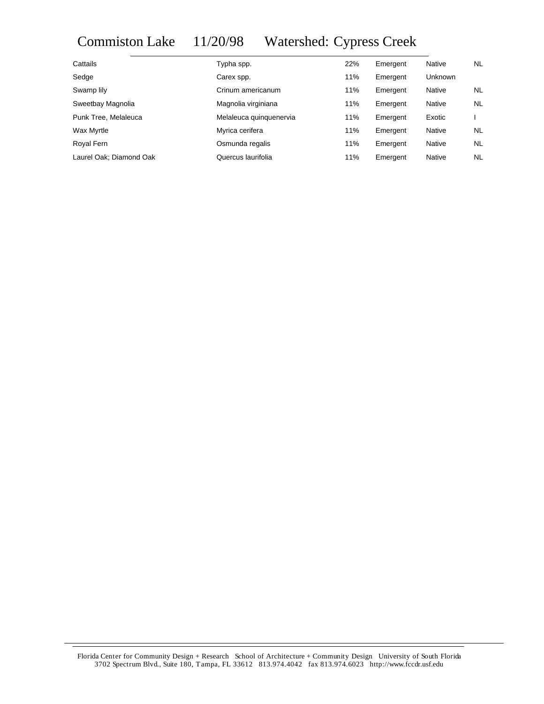## Commiston Lake 11/20/98 Watershed: Cypress Creek

| Cattails                | Typha spp.              | 22% | Emergent | Native         | NL.       |
|-------------------------|-------------------------|-----|----------|----------------|-----------|
| Sedge                   | Carex spp.              | 11% | Emergent | <b>Unknown</b> |           |
| Swamp lily              | Crinum americanum       | 11% | Emergent | Native         | NL        |
| Sweetbay Magnolia       | Magnolia virginiana     | 11% | Emergent | Native         | <b>NL</b> |
| Punk Tree, Melaleuca    | Melaleuca quinquenervia | 11% | Emergent | Exotic         |           |
| Wax Myrtle              | Myrica cerifera         | 11% | Emergent | Native         | NL.       |
| Royal Fern              | Osmunda regalis         | 11% | Emergent | Native         | <b>NL</b> |
| Laurel Oak; Diamond Oak | Quercus laurifolia      | 11% | Emergent | Native         | <b>NL</b> |
|                         |                         |     |          |                |           |